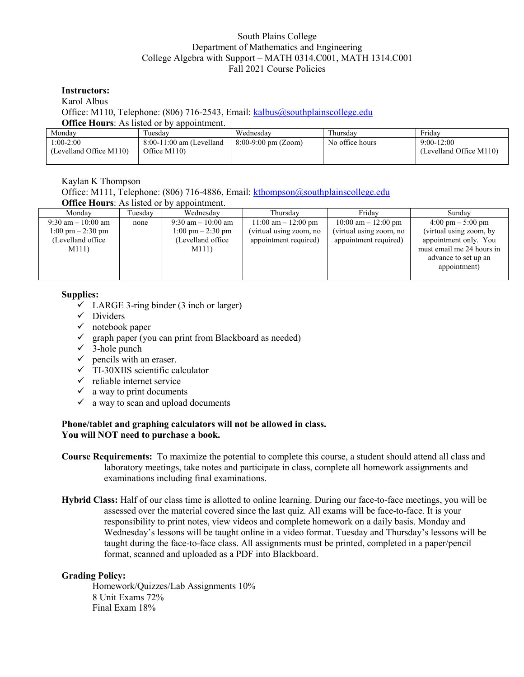## South Plains College Department of Mathematics and Engineering College Algebra with Support – MATH 0314.C001, MATH 1314.C001 Fall 2021 Course Policies

# **Instructors:**

Karol Albus Office: M110, Telephone: (806) 716-2543, Email: [kalbus@southplainscollege.edu](mailto:kalbus@southplainscollege.edu) **Office Hours**: As listed or by appointment.

| Monday                  | Fuesdav                                     | Wednesdav                     | Thursdav        | Friday                                  |
|-------------------------|---------------------------------------------|-------------------------------|-----------------|-----------------------------------------|
| $1:00-2:00$             | $8:00-11:00$ am (Levelland<br>Office $M110$ | $8:00-9:00 \text{ pm} (Zoom)$ | No office hours | $9:00-12:00$<br>(Levelland Office M110) |
| (Levelland Office M110) |                                             |                               |                 |                                         |

Kaylan K Thompson Office: M111, Telephone: (806) 716-4886, Email: [kthompson@southplainscollege.edu](mailto:kthompson@southplainscollege.edu) **Office Hours:** As listed or by appointment.

| 1.0000                               |         |                                      |                         |                         |                                     |
|--------------------------------------|---------|--------------------------------------|-------------------------|-------------------------|-------------------------------------|
| Monday                               | Tuesdav | Wednesdav                            | Thursdav                | Fridav                  | Sundav                              |
| $9:30 \text{ am} - 10:00 \text{ am}$ | none    | $9:30 \text{ am} - 10:00 \text{ am}$ | $11:00$ am $-12:00$ pm  | $10:00$ am $-12:00$ pm  | $4:00 \text{ pm} - 5:00 \text{ pm}$ |
| $1:00 \text{ pm} - 2:30 \text{ pm}$  |         | $1:00 \text{ pm} - 2:30 \text{ pm}$  | (virtual using zoom, no | (virtual using zoom, no | (virtual using zoom, by             |
| (Levelland office)                   |         | (Levelland office)                   | appointment required)   | appointment required)   | appointment only. You               |
| M111)                                |         | M111)                                |                         |                         | must email me 24 hours in           |
|                                      |         |                                      |                         |                         | advance to set up an                |
|                                      |         |                                      |                         |                         | appointment)                        |
|                                      |         |                                      |                         |                         |                                     |

## **Supplies:**

- $\checkmark$  LARGE 3-ring binder (3 inch or larger)
- $\checkmark$  Dividers
- $\checkmark$  notebook paper
- $\checkmark$  graph paper (you can print from Blackboard as needed)
- $\checkmark$  3-hole punch
- $\checkmark$  pencils with an eraser.
- $\checkmark$  TI-30XIIS scientific calculator
- $\checkmark$  reliable internet service
- $\checkmark$  a way to print documents
- $\checkmark$  a way to scan and upload documents

### **Phone/tablet and graphing calculators will not be allowed in class. You will NOT need to purchase a book.**

- **Course Requirements:** To maximize the potential to complete this course, a student should attend all class and laboratory meetings, take notes and participate in class, complete all homework assignments and examinations including final examinations.
- **Hybrid Class:** Half of our class time is allotted to online learning. During our face-to-face meetings, you will be assessed over the material covered since the last quiz. All exams will be face-to-face. It is your responsibility to print notes, view videos and complete homework on a daily basis. Monday and Wednesday's lessons will be taught online in a video format. Tuesday and Thursday's lessons will be taught during the face-to-face class. All assignments must be printed, completed in a paper/pencil format, scanned and uploaded as a PDF into Blackboard.

## **Grading Policy:**

Homework/Quizzes/Lab Assignments 10% 8 Unit Exams 72% Final Exam 18%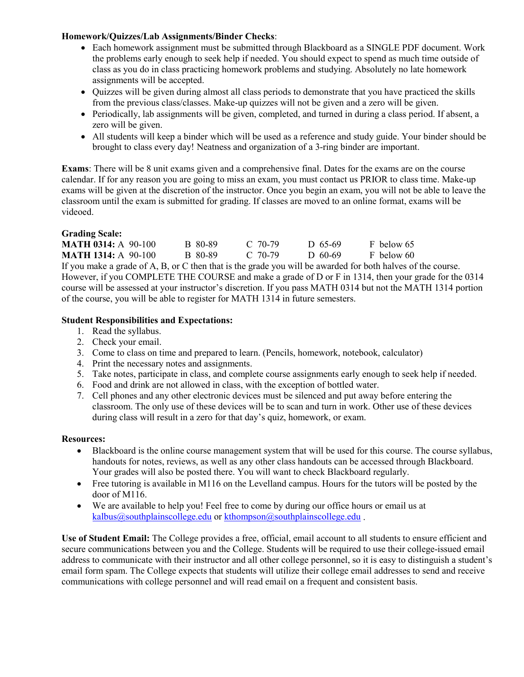# **Homework/Quizzes/Lab Assignments/Binder Checks**:

- Each homework assignment must be submitted through Blackboard as a SINGLE PDF document. Work the problems early enough to seek help if needed. You should expect to spend as much time outside of class as you do in class practicing homework problems and studying. Absolutely no late homework assignments will be accepted.
- Quizzes will be given during almost all class periods to demonstrate that you have practiced the skills from the previous class/classes. Make-up quizzes will not be given and a zero will be given.
- Periodically, lab assignments will be given, completed, and turned in during a class period. If absent, a zero will be given.
- All students will keep a binder which will be used as a reference and study guide. Your binder should be brought to class every day! Neatness and organization of a 3-ring binder are important.

**Exams**: There will be 8 unit exams given and a comprehensive final. Dates for the exams are on the course calendar. If for any reason you are going to miss an exam, you must contact us PRIOR to class time. Make-up exams will be given at the discretion of the instructor. Once you begin an exam, you will not be able to leave the classroom until the exam is submitted for grading. If classes are moved to an online format, exams will be videoed.

# **Grading Scale:**

| <b>MATH 0314: A 90-100</b>                                                                                   | B 80-89 | $C$ 70-79 | D $65-69$ | F below 65 |  |
|--------------------------------------------------------------------------------------------------------------|---------|-----------|-----------|------------|--|
| <b>MATH 1314: A 90-100</b>                                                                                   | B 80-89 | $C$ 70-79 | D 60-69   | F below 60 |  |
| If you make a grade of A, B, or C then that is the grade you will be awarded for both halves of the course.  |         |           |           |            |  |
| However, if you COMPLETE THE COURSE and make a grade of D or F in 1314, then your grade for the 0314         |         |           |           |            |  |
| course will be assessed at your instructor's discretion. If you pass MATH 0314 but not the MATH 1314 portion |         |           |           |            |  |

## **Student Responsibilities and Expectations:**

- 1. Read the syllabus.
- 2. Check your email.
- 3. Come to class on time and prepared to learn. (Pencils, homework, notebook, calculator)
- 4. Print the necessary notes and assignments.
- 5. Take notes, participate in class, and complete course assignments early enough to seek help if needed.
- 6. Food and drink are not allowed in class, with the exception of bottled water.

of the course, you will be able to register for MATH 1314 in future semesters.

7. Cell phones and any other electronic devices must be silenced and put away before entering the classroom. The only use of these devices will be to scan and turn in work. Other use of these devices during class will result in a zero for that day's quiz, homework, or exam.

## **Resources:**

- Blackboard is the online course management system that will be used for this course. The course syllabus, handouts for notes, reviews, as well as any other class handouts can be accessed through Blackboard. Your grades will also be posted there. You will want to check Blackboard regularly.
- Free tutoring is available in M116 on the Levelland campus. Hours for the tutors will be posted by the door of M116.
- We are available to help you! Feel free to come by during our office hours or email us at [kalbus@southplainscollege.edu](mailto:kalbus@southplainscollege.edu) or [kthompson@southplainscollege.edu](mailto:kthompson@southplainscollege.edu).

**Use of Student Email:** The College provides a free, official, email account to all students to ensure efficient and secure communications between you and the College. Students will be required to use their college-issued email address to communicate with their instructor and all other college personnel, so it is easy to distinguish a student's email form spam. The College expects that students will utilize their college email addresses to send and receive communications with college personnel and will read email on a frequent and consistent basis.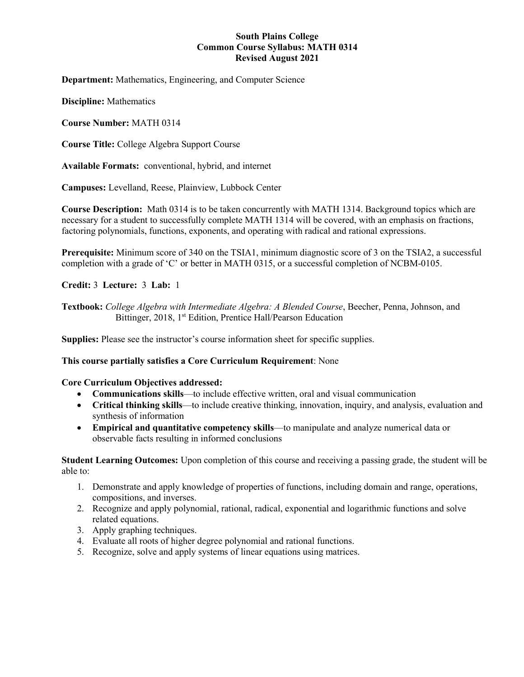## **South Plains College Common Course Syllabus: MATH 0314 Revised August 2021**

**Department:** Mathematics, Engineering, and Computer Science

**Discipline:** Mathematics

**Course Number:** MATH 0314

**Course Title:** College Algebra Support Course

**Available Formats:** conventional, hybrid, and internet

**Campuses:** Levelland, Reese, Plainview, Lubbock Center

**Course Description:** Math 0314 is to be taken concurrently with MATH 1314. Background topics which are necessary for a student to successfully complete MATH 1314 will be covered, with an emphasis on fractions, factoring polynomials, functions, exponents, and operating with radical and rational expressions.

**Prerequisite:** Minimum score of 340 on the TSIA1, minimum diagnostic score of 3 on the TSIA2, a successful completion with a grade of 'C' or better in MATH 0315, or a successful completion of NCBM-0105.

**Credit:** 3 **Lecture:** 3 **Lab:** 1

**Textbook:** *College Algebra with Intermediate Algebra: A Blended Course*, Beecher, Penna, Johnson, and Bittinger, 2018, 1<sup>st</sup> Edition, Prentice Hall/Pearson Education

**Supplies:** Please see the instructor's course information sheet for specific supplies.

#### **This course partially satisfies a Core Curriculum Requirement**: None

#### **Core Curriculum Objectives addressed:**

- **Communications skills**—to include effective written, oral and visual communication
- **Critical thinking skills**—to include creative thinking, innovation, inquiry, and analysis, evaluation and synthesis of information
- **Empirical and quantitative competency skills**—to manipulate and analyze numerical data or observable facts resulting in informed conclusions

**Student Learning Outcomes:** Upon completion of this course and receiving a passing grade, the student will be able to:

- 1. Demonstrate and apply knowledge of properties of functions, including domain and range, operations, compositions, and inverses.
- 2. Recognize and apply polynomial, rational, radical, exponential and logarithmic functions and solve related equations.
- 3. Apply graphing techniques.
- 4. Evaluate all roots of higher degree polynomial and rational functions.
- 5. Recognize, solve and apply systems of linear equations using matrices.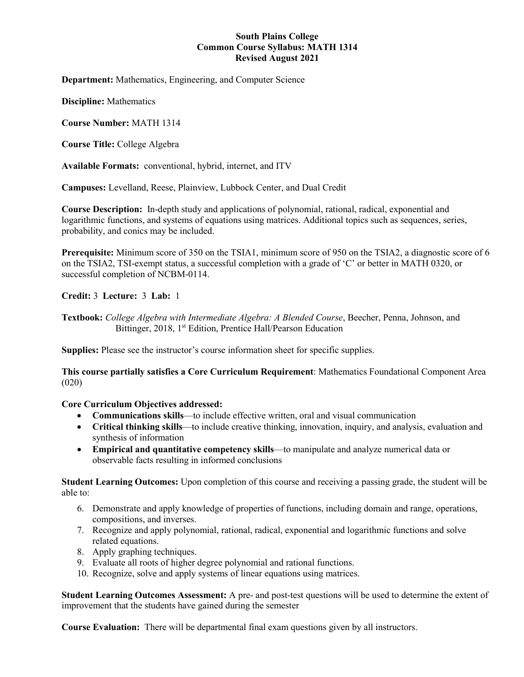## **South Plains College Common Course Syllabus: MATH 1314 Revised August 2021**

**Department:** Mathematics, Engineering, and Computer Science

**Discipline:** Mathematics

**Course Number:** MATH 1314

**Course Title:** College Algebra

**Available Formats:** conventional, hybrid, internet, and ITV

**Campuses:** Levelland, Reese, Plainview, Lubbock Center, and Dual Credit

**Course Description:** In-depth study and applications of polynomial, rational, radical, exponential and logarithmic functions, and systems of equations using matrices. Additional topics such as sequences, series, probability, and conics may be included.

**Prerequisite:** Minimum score of 350 on the TSIA1, minimum score of 950 on the TSIA2, a diagnostic score of 6 on the TSIA2, TSI-exempt status, a successful completion with a grade of 'C' or better in MATH 0320, or successful completion of NCBM-0114.

**Credit:** 3 **Lecture:** 3 **Lab:** 1

**Textbook:** *College Algebra with Intermediate Algebra: A Blended Course*, Beecher, Penna, Johnson, and Bittinger, 2018, 1<sup>st</sup> Edition, Prentice Hall/Pearson Education

**Supplies:** Please see the instructor's course information sheet for specific supplies.

**This course partially satisfies a Core Curriculum Requirement**: Mathematics Foundational Component Area (020)

**Core Curriculum Objectives addressed:**

- **Communications skills**—to include effective written, oral and visual communication
- **Critical thinking skills**—to include creative thinking, innovation, inquiry, and analysis, evaluation and synthesis of information
- **Empirical and quantitative competency skills**—to manipulate and analyze numerical data or observable facts resulting in informed conclusions

**Student Learning Outcomes:** Upon completion of this course and receiving a passing grade, the student will be able to:

- 6. Demonstrate and apply knowledge of properties of functions, including domain and range, operations, compositions, and inverses.
- 7. Recognize and apply polynomial, rational, radical, exponential and logarithmic functions and solve related equations.
- 8. Apply graphing techniques.
- 9. Evaluate all roots of higher degree polynomial and rational functions.
- 10. Recognize, solve and apply systems of linear equations using matrices.

**Student Learning Outcomes Assessment:** A pre- and post-test questions will be used to determine the extent of improvement that the students have gained during the semester

**Course Evaluation:** There will be departmental final exam questions given by all instructors.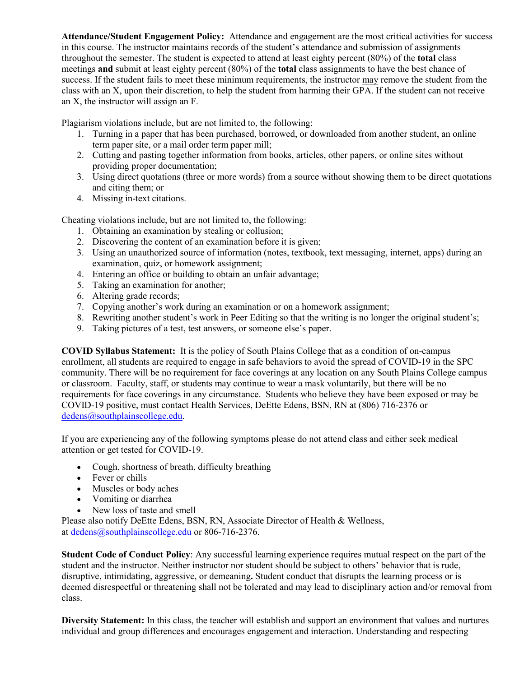**Attendance/Student Engagement Policy:** Attendance and engagement are the most critical activities for success in this course. The instructor maintains records of the student's attendance and submission of assignments throughout the semester. The student is expected to attend at least eighty percent (80%) of the **total** class meetings **and** submit at least eighty percent (80%) of the **total** class assignments to have the best chance of success. If the student fails to meet these minimum requirements, the instructor may remove the student from the class with an X, upon their discretion, to help the student from harming their GPA. If the student can not receive an X, the instructor will assign an F.

Plagiarism violations include, but are not limited to, the following:

- 1. Turning in a paper that has been purchased, borrowed, or downloaded from another student, an online term paper site, or a mail order term paper mill;
- 2. Cutting and pasting together information from books, articles, other papers, or online sites without providing proper documentation;
- 3. Using direct quotations (three or more words) from a source without showing them to be direct quotations and citing them; or
- 4. Missing in-text citations.

Cheating violations include, but are not limited to, the following:

- 1. Obtaining an examination by stealing or collusion;
- 2. Discovering the content of an examination before it is given;
- 3. Using an unauthorized source of information (notes, textbook, text messaging, internet, apps) during an examination, quiz, or homework assignment;
- 4. Entering an office or building to obtain an unfair advantage;
- 5. Taking an examination for another;
- 6. Altering grade records;
- 7. Copying another's work during an examination or on a homework assignment;
- 8. Rewriting another student's work in Peer Editing so that the writing is no longer the original student's;
- 9. Taking pictures of a test, test answers, or someone else's paper.

**COVID Syllabus Statement:** It is the policy of South Plains College that as a condition of on-campus enrollment, all students are required to engage in safe behaviors to avoid the spread of COVID-19 in the SPC community. There will be no requirement for face coverings at any location on any South Plains College campus or classroom. Faculty, staff, or students may continue to wear a mask voluntarily, but there will be no requirements for face coverings in any circumstance. Students who believe they have been exposed or may be COVID-19 positive, must contact Health Services, DeEtte Edens, BSN, RN at (806) 716-2376 or [dedens@southplainscollege.edu.](mailto:dedens@southplainscollege.edu)

If you are experiencing any of the following symptoms please do not attend class and either seek medical attention or get tested for COVID-19.

- Cough, shortness of breath, difficulty breathing
- Fever or chills
- Muscles or body aches
- Vomiting or diarrhea
- New loss of taste and smell

Please also notify DeEtte Edens, BSN, RN, Associate Director of Health & Wellness, at [dedens@southplainscollege.edu](mailto:dedens@southplainscollege.edu) or 806-716-2376.

**Student Code of Conduct Policy**: Any successful learning experience requires mutual respect on the part of the student and the instructor. Neither instructor nor student should be subject to others' behavior that is rude, disruptive, intimidating, aggressive, or demeaning**.** Student conduct that disrupts the learning process or is deemed disrespectful or threatening shall not be tolerated and may lead to disciplinary action and/or removal from class.

**Diversity Statement:** In this class, the teacher will establish and support an environment that values and nurtures individual and group differences and encourages engagement and interaction. Understanding and respecting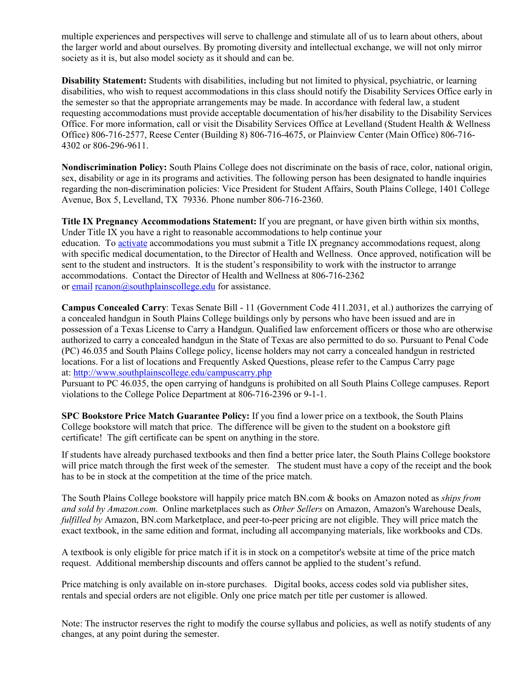multiple experiences and perspectives will serve to challenge and stimulate all of us to learn about others, about the larger world and about ourselves. By promoting diversity and intellectual exchange, we will not only mirror society as it is, but also model society as it should and can be.

**Disability Statement:** Students with disabilities, including but not limited to physical, psychiatric, or learning disabilities, who wish to request accommodations in this class should notify the Disability Services Office early in the semester so that the appropriate arrangements may be made. In accordance with federal law, a student requesting accommodations must provide acceptable documentation of his/her disability to the Disability Services Office. For more information, call or visit the Disability Services Office at Levelland (Student Health & Wellness Office) 806-716-2577, Reese Center (Building 8) 806-716-4675, or Plainview Center (Main Office) 806-716- 4302 or 806-296-9611.

**Nondiscrimination Policy:** South Plains College does not discriminate on the basis of race, color, national origin, sex, disability or age in its programs and activities. The following person has been designated to handle inquiries regarding the non-discrimination policies: Vice President for Student Affairs, South Plains College, 1401 College Avenue, Box 5, Levelland, TX 79336. Phone number 806-716-2360.

**Title IX Pregnancy Accommodations Statement:** If you are pregnant, or have given birth within six months, Under Title IX you have a right to reasonable accommodations to help continue your education. To [activate](http://www.southplainscollege.edu/employees/manualshandbooks/facultyhandbook/sec4.php) accommodations you must submit a Title IX pregnancy accommodations request, along with specific medical documentation, to the Director of Health and Wellness. Once approved, notification will be sent to the student and instructors. It is the student's responsibility to work with the instructor to arrange accommodations. Contact the Director of Health and Wellness at 806-716-2362 or [email](http://www.southplainscollege.edu/employees/manualshandbooks/facultyhandbook/sec4.php) [rcanon@southplainscollege.edu](mailto:rcanon@southplainscollege.edu) for assistance.

**Campus Concealed Carry**: Texas Senate Bill - 11 (Government Code 411.2031, et al.) authorizes the carrying of a concealed handgun in South Plains College buildings only by persons who have been issued and are in possession of a Texas License to Carry a Handgun. Qualified law enforcement officers or those who are otherwise authorized to carry a concealed handgun in the State of Texas are also permitted to do so. Pursuant to Penal Code (PC) 46.035 and South Plains College policy, license holders may not carry a concealed handgun in restricted locations. For a list of locations and Frequently Asked Questions, please refer to the Campus Carry page at: <http://www.southplainscollege.edu/campuscarry.php>

Pursuant to PC 46.035, the open carrying of handguns is prohibited on all South Plains College campuses. Report violations to the College Police Department at 806-716-2396 or 9-1-1.

**SPC Bookstore Price Match Guarantee Policy:** If you find a lower price on a textbook, the South Plains College bookstore will match that price. The difference will be given to the student on a bookstore gift certificate! The gift certificate can be spent on anything in the store.

If students have already purchased textbooks and then find a better price later, the South Plains College bookstore will price match through the first week of the semester. The student must have a copy of the receipt and the book has to be in stock at the competition at the time of the price match.

The South Plains College bookstore will happily price match BN.com & books on Amazon noted as *ships from and sold by Amazon.com*. Online marketplaces such as *Other Sellers* on Amazon, Amazon's Warehouse Deals, *fulfilled by* Amazon, BN.com Marketplace, and peer-to-peer pricing are not eligible. They will price match the exact textbook, in the same edition and format, including all accompanying materials, like workbooks and CDs.

A textbook is only eligible for price match if it is in stock on a competitor's website at time of the price match request. Additional membership discounts and offers cannot be applied to the student's refund.

Price matching is only available on in-store purchases. Digital books, access codes sold via publisher sites, rentals and special orders are not eligible. Only one price match per title per customer is allowed.

Note: The instructor reserves the right to modify the course syllabus and policies, as well as notify students of any changes, at any point during the semester.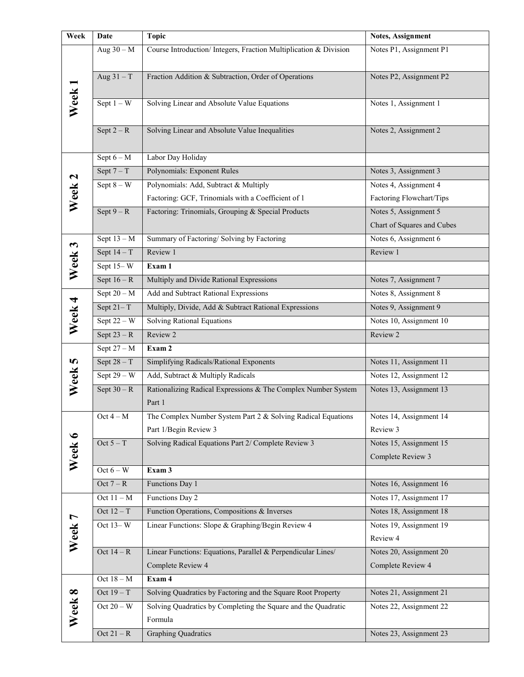| Week              | Date          | <b>Topic</b>                                                             | Notes, Assignment          |
|-------------------|---------------|--------------------------------------------------------------------------|----------------------------|
|                   | Aug $30 - M$  | Course Introduction/ Integers, Fraction Multiplication & Division        | Notes P1, Assignment P1    |
|                   | Aug $31 - T$  | Fraction Addition & Subtraction, Order of Operations                     | Notes P2, Assignment P2    |
| Week <sub>1</sub> | Sept $1 - W$  | Solving Linear and Absolute Value Equations                              | Notes 1, Assignment 1      |
|                   | Sept $2 - R$  | Solving Linear and Absolute Value Inequalities                           | Notes 2, Assignment 2      |
|                   | Sept $6 - M$  | Labor Day Holiday                                                        |                            |
|                   | Sept $7 - T$  | Polynomials: Exponent Rules                                              | Notes 3, Assignment 3      |
|                   | Sept $8 - W$  | Polynomials: Add, Subtract & Multiply                                    | Notes 4, Assignment 4      |
| Week <sub>2</sub> |               | Factoring: GCF, Trinomials with a Coefficient of 1                       | Factoring Flowchart/Tips   |
|                   | Sept $9 - R$  | Factoring: Trinomials, Grouping & Special Products                       | Notes 5, Assignment 5      |
|                   |               |                                                                          | Chart of Squares and Cubes |
|                   | Sept $13 - M$ | Summary of Factoring/Solving by Factoring                                | Notes 6, Assignment 6      |
| Week 3            | Sept $14 - T$ | Review 1                                                                 | Review 1                   |
|                   | Sept $15-W$   | Exam 1                                                                   |                            |
|                   | Sept $16 - R$ | Multiply and Divide Rational Expressions                                 | Notes 7, Assignment 7      |
|                   | Sept $20 - M$ | Add and Subtract Rational Expressions                                    | Notes 8, Assignment 8      |
| Week 4            | Sept $21 - T$ | Multiply, Divide, Add & Subtract Rational Expressions                    | Notes 9, Assignment 9      |
|                   | Sept $22 - W$ | <b>Solving Rational Equations</b>                                        | Notes 10, Assignment 10    |
|                   | Sept $23 - R$ | Review 2                                                                 | Review 2                   |
|                   | Sept $27 - M$ | Exam 2                                                                   |                            |
|                   | Sept $28 - T$ | Simplifying Radicals/Rational Exponents                                  | Notes 11, Assignment 11    |
| Week 5            | Sept $29 - W$ | Add, Subtract & Multiply Radicals                                        | Notes 12, Assignment 12    |
|                   | Sept $30 - R$ | Rationalizing Radical Expressions & The Complex Number System<br>Part 1  | Notes 13, Assignment 13    |
|                   | $Oct 4 - M$   | The Complex Number System Part $2 \&$ Solving Radical Equations          | Notes 14, Assignment 14    |
|                   |               | Part 1/Begin Review 3                                                    | Review 3                   |
|                   | Oct $5 - T$   | Solving Radical Equations Part 2/ Complete Review 3                      | Notes 15, Assignment 15    |
| Week 6            |               |                                                                          | Complete Review 3          |
|                   | Oct $6 - W$   | Exam 3                                                                   |                            |
|                   | Oct $7 - R$   | Functions Day 1                                                          | Notes 16, Assignment 16    |
|                   | Oct $11 - M$  | Functions Day 2                                                          | Notes 17, Assignment 17    |
| Week 7            | Oct $12 - T$  | Function Operations, Compositions & Inverses                             | Notes 18, Assignment 18    |
|                   | Oct $13-W$    | Linear Functions: Slope & Graphing/Begin Review 4                        | Notes 19, Assignment 19    |
|                   |               |                                                                          | Review 4                   |
|                   | Oct $14 - R$  | Linear Functions: Equations, Parallel & Perpendicular Lines/             | Notes 20, Assignment 20    |
|                   |               | Complete Review 4                                                        | Complete Review 4          |
|                   | Oct $18 - M$  | Exam 4                                                                   |                            |
|                   | Oct $19 - T$  | Solving Quadratics by Factoring and the Square Root Property             | Notes 21, Assignment 21    |
| Week 8            | Oct $20 - W$  | Solving Quadratics by Completing the Square and the Quadratic<br>Formula | Notes 22, Assignment 22    |
|                   | Oct $21 - R$  | <b>Graphing Quadratics</b>                                               | Notes 23, Assignment 23    |